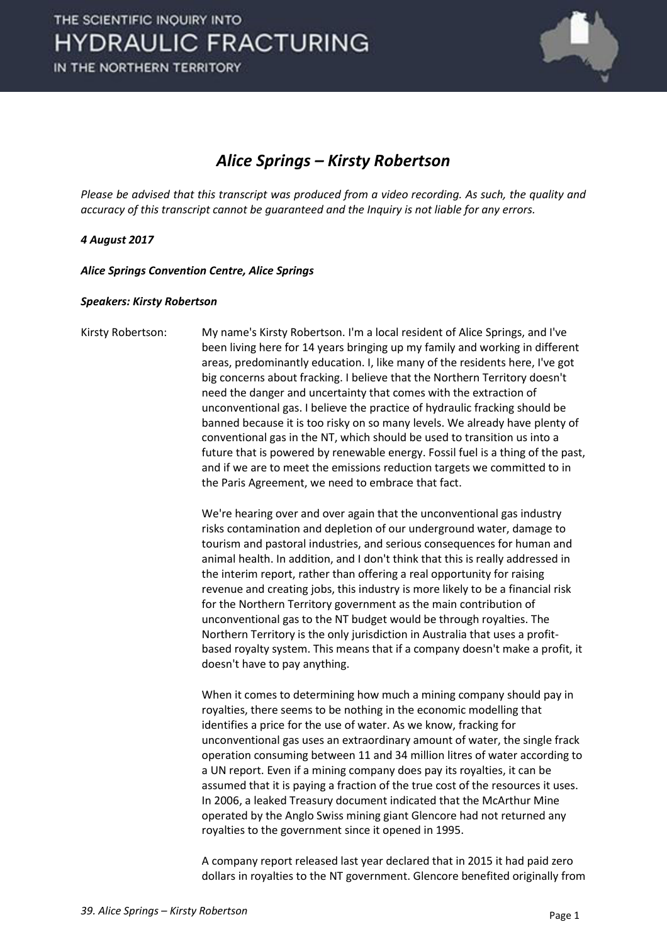

## *Alice Springs – Kirsty Robertson*

*Please be advised that this transcript was produced from a video recording. As such, the quality and accuracy of this transcript cannot be guaranteed and the Inquiry is not liable for any errors.*

## *4 August 2017*

*Alice Springs Convention Centre, Alice Springs* 

## *Speakers: Kirsty Robertson*

Kirsty Robertson: My name's Kirsty Robertson. I'm a local resident of Alice Springs, and I've been living here for 14 years bringing up my family and working in different areas, predominantly education. I, like many of the residents here, I've got big concerns about fracking. I believe that the Northern Territory doesn't need the danger and uncertainty that comes with the extraction of unconventional gas. I believe the practice of hydraulic fracking should be banned because it is too risky on so many levels. We already have plenty of conventional gas in the NT, which should be used to transition us into a future that is powered by renewable energy. Fossil fuel is a thing of the past, and if we are to meet the emissions reduction targets we committed to in the Paris Agreement, we need to embrace that fact.

> We're hearing over and over again that the unconventional gas industry risks contamination and depletion of our underground water, damage to tourism and pastoral industries, and serious consequences for human and animal health. In addition, and I don't think that this is really addressed in the interim report, rather than offering a real opportunity for raising revenue and creating jobs, this industry is more likely to be a financial risk for the Northern Territory government as the main contribution of unconventional gas to the NT budget would be through royalties. The Northern Territory is the only jurisdiction in Australia that uses a profitbased royalty system. This means that if a company doesn't make a profit, it doesn't have to pay anything.

> When it comes to determining how much a mining company should pay in royalties, there seems to be nothing in the economic modelling that identifies a price for the use of water. As we know, fracking for unconventional gas uses an extraordinary amount of water, the single frack operation consuming between 11 and 34 million litres of water according to a UN report. Even if a mining company does pay its royalties, it can be assumed that it is paying a fraction of the true cost of the resources it uses. In 2006, a leaked Treasury document indicated that the McArthur Mine operated by the Anglo Swiss mining giant Glencore had not returned any royalties to the government since it opened in 1995.

> A company report released last year declared that in 2015 it had paid zero dollars in royalties to the NT government. Glencore benefited originally from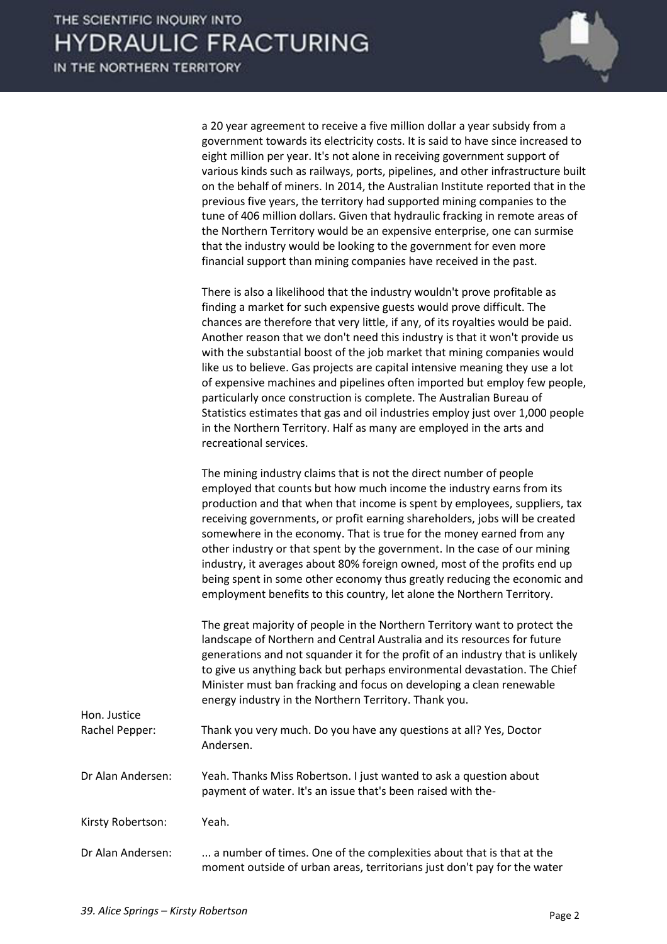

a 20 year agreement to receive a five million dollar a year subsidy from a government towards its electricity costs. It is said to have since increased to eight million per year. It's not alone in receiving government support of various kinds such as railways, ports, pipelines, and other infrastructure built on the behalf of miners. In 2014, the Australian Institute reported that in the previous five years, the territory had supported mining companies to the tune of 406 million dollars. Given that hydraulic fracking in remote areas of the Northern Territory would be an expensive enterprise, one can surmise that the industry would be looking to the government for even more financial support than mining companies have received in the past.

 There is also a likelihood that the industry wouldn't prove profitable as finding a market for such expensive guests would prove difficult. The chances are therefore that very little, if any, of its royalties would be paid. Another reason that we don't need this industry is that it won't provide us with the substantial boost of the job market that mining companies would like us to believe. Gas projects are capital intensive meaning they use a lot of expensive machines and pipelines often imported but employ few people, particularly once construction is complete. The Australian Bureau of Statistics estimates that gas and oil industries employ just over 1,000 people in the Northern Territory. Half as many are employed in the arts and recreational services.

 The mining industry claims that is not the direct number of people employed that counts but how much income the industry earns from its production and that when that income is spent by employees, suppliers, tax receiving governments, or profit earning shareholders, jobs will be created somewhere in the economy. That is true for the money earned from any other industry or that spent by the government. In the case of our mining industry, it averages about 80% foreign owned, most of the profits end up being spent in some other economy thus greatly reducing the economic and employment benefits to this country, let alone the Northern Territory.

 The great majority of people in the Northern Territory want to protect the landscape of Northern and Central Australia and its resources for future generations and not squander it for the profit of an industry that is unlikely to give us anything back but perhaps environmental devastation. The Chief Minister must ban fracking and focus on developing a clean renewable energy industry in the Northern Territory. Thank you.

moment outside of urban areas, territorians just don't pay for the water

| Hon. Justice<br>Rachel Pepper: | Thank you very much. Do you have any questions at all? Yes, Doctor<br>Andersen.                                                    |
|--------------------------------|------------------------------------------------------------------------------------------------------------------------------------|
| Dr Alan Andersen:              | Yeah. Thanks Miss Robertson. I just wanted to ask a question about<br>payment of water. It's an issue that's been raised with the- |
| Kirsty Robertson:              | Yeah.                                                                                                                              |
| Dr Alan Andersen:              | a number of times. One of the complexities about that is that at the                                                               |